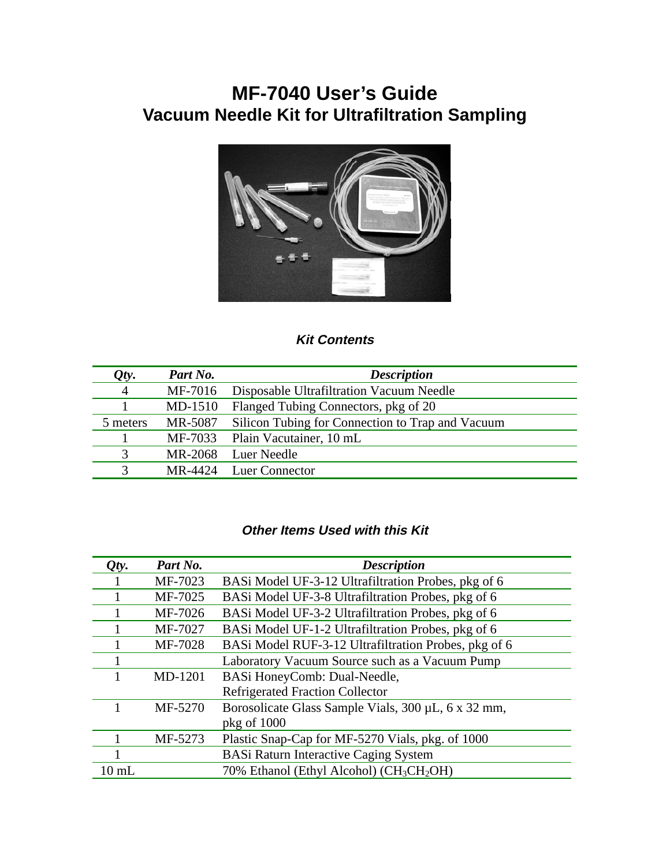# **MF-7040 User's Guide Vacuum Needle Kit for Ultrafiltration Sampling**



## **Kit Contents**

| Qty.           | Part No.  | <b>Description</b>                               |
|----------------|-----------|--------------------------------------------------|
| $\overline{4}$ | MF-7016   | Disposable Ultrafiltration Vacuum Needle         |
|                | $MD-1510$ | Flanged Tubing Connectors, pkg of 20             |
| 5 meters       | MR-5087   | Silicon Tubing for Connection to Trap and Vacuum |
|                |           | MF-7033 Plain Vacutainer, 10 mL                  |
| 3              | MR-2068   | Luer Needle                                      |
| 3              |           | MR-4424 Luer Connector                           |

#### **Other Items Used with this Kit**

| Qty.            | Part No. | <b>Description</b>                                               |
|-----------------|----------|------------------------------------------------------------------|
|                 | MF-7023  | BASi Model UF-3-12 Ultrafiltration Probes, pkg of 6              |
|                 | MF-7025  | BASi Model UF-3-8 Ultrafiltration Probes, pkg of 6               |
|                 | MF-7026  | BASi Model UF-3-2 Ultrafiltration Probes, pkg of 6               |
|                 | MF-7027  | BASi Model UF-1-2 Ultrafiltration Probes, pkg of 6               |
|                 | MF-7028  | BASi Model RUF-3-12 Ultrafiltration Probes, pkg of 6             |
|                 |          | Laboratory Vacuum Source such as a Vacuum Pump                   |
|                 | MD-1201  | BASi HoneyComb: Dual-Needle,                                     |
|                 |          | <b>Refrigerated Fraction Collector</b>                           |
|                 | MF-5270  | Borosolicate Glass Sample Vials, 300 µL, 6 x 32 mm,              |
|                 |          | $pkg$ of $1000$                                                  |
|                 | MF-5273  | Plastic Snap-Cap for MF-5270 Vials, pkg. of 1000                 |
|                 |          | <b>BASi Raturn Interactive Caging System</b>                     |
| $10 \text{ mL}$ |          | 70% Ethanol (Ethyl Alcohol) (CH <sub>3</sub> CH <sub>2</sub> OH) |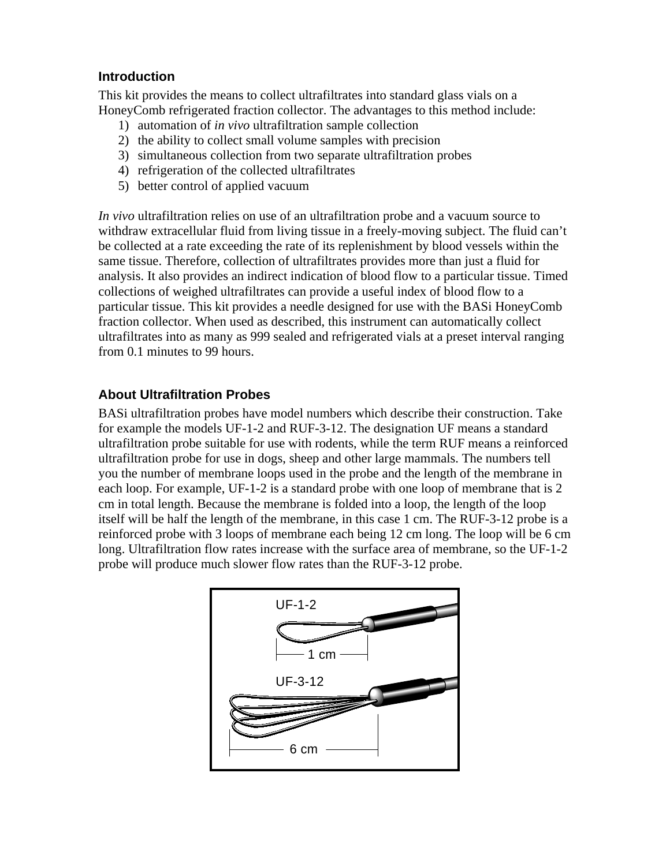#### **Introduction**

This kit provides the means to collect ultrafiltrates into standard glass vials on a HoneyComb refrigerated fraction collector. The advantages to this method include:

- 1) automation of *in vivo* ultrafiltration sample collection
- 2) the ability to collect small volume samples with precision
- 3) simultaneous collection from two separate ultrafiltration probes
- 4) refrigeration of the collected ultrafiltrates
- 5) better control of applied vacuum

*In vivo* ultrafiltration relies on use of an ultrafiltration probe and a vacuum source to withdraw extracellular fluid from living tissue in a freely-moving subject. The fluid can't be collected at a rate exceeding the rate of its replenishment by blood vessels within the same tissue. Therefore, collection of ultrafiltrates provides more than just a fluid for analysis. It also provides an indirect indication of blood flow to a particular tissue. Timed collections of weighed ultrafiltrates can provide a useful index of blood flow to a particular tissue. This kit provides a needle designed for use with the BASi HoneyComb fraction collector. When used as described, this instrument can automatically collect ultrafiltrates into as many as 999 sealed and refrigerated vials at a preset interval ranging from 0.1 minutes to 99 hours.

#### **About Ultrafiltration Probes**

BASi ultrafiltration probes have model numbers which describe their construction. Take for example the models UF-1-2 and RUF-3-12. The designation UF means a standard ultrafiltration probe suitable for use with rodents, while the term RUF means a reinforced ultrafiltration probe for use in dogs, sheep and other large mammals. The numbers tell you the number of membrane loops used in the probe and the length of the membrane in each loop. For example, UF-1-2 is a standard probe with one loop of membrane that is 2 cm in total length. Because the membrane is folded into a loop, the length of the loop itself will be half the length of the membrane, in this case 1 cm. The RUF-3-12 probe is a reinforced probe with 3 loops of membrane each being 12 cm long. The loop will be 6 cm long. Ultrafiltration flow rates increase with the surface area of membrane, so the UF-1-2 probe will produce much slower flow rates than the RUF-3-12 probe.

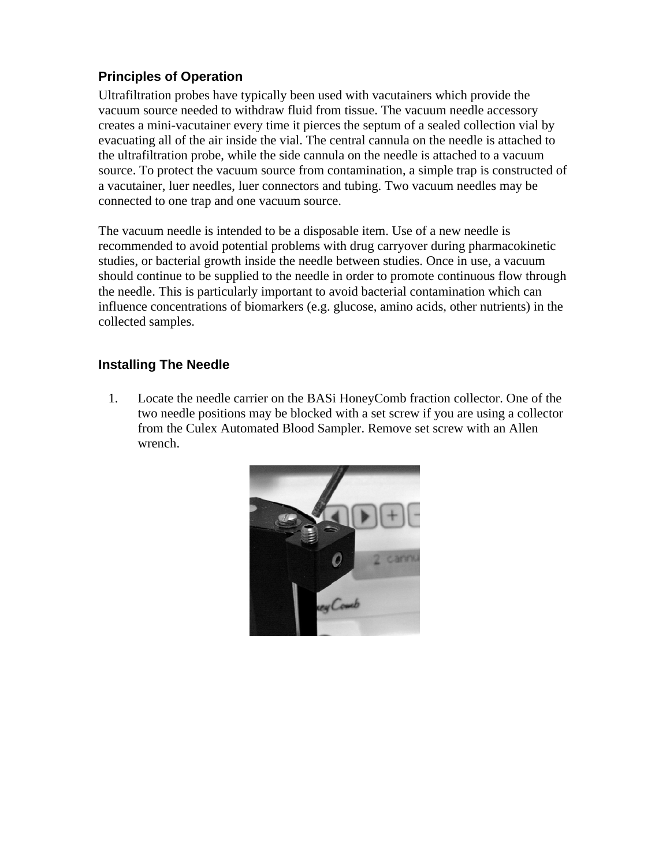## **Principles of Operation**

Ultrafiltration probes have typically been used with vacutainers which provide the vacuum source needed to withdraw fluid from tissue. The vacuum needle accessory creates a mini-vacutainer every time it pierces the septum of a sealed collection vial by evacuating all of the air inside the vial. The central cannula on the needle is attached to the ultrafiltration probe, while the side cannula on the needle is attached to a vacuum source. To protect the vacuum source from contamination, a simple trap is constructed of a vacutainer, luer needles, luer connectors and tubing. Two vacuum needles may be connected to one trap and one vacuum source.

The vacuum needle is intended to be a disposable item. Use of a new needle is recommended to avoid potential problems with drug carryover during pharmacokinetic studies, or bacterial growth inside the needle between studies. Once in use, a vacuum should continue to be supplied to the needle in order to promote continuous flow through the needle. This is particularly important to avoid bacterial contamination which can influence concentrations of biomarkers (e.g. glucose, amino acids, other nutrients) in the collected samples.

#### **Installing The Needle**

1. Locate the needle carrier on the BASi HoneyComb fraction collector. One of the two needle positions may be blocked with a set screw if you are using a collector from the Culex Automated Blood Sampler. Remove set screw with an Allen wrench.

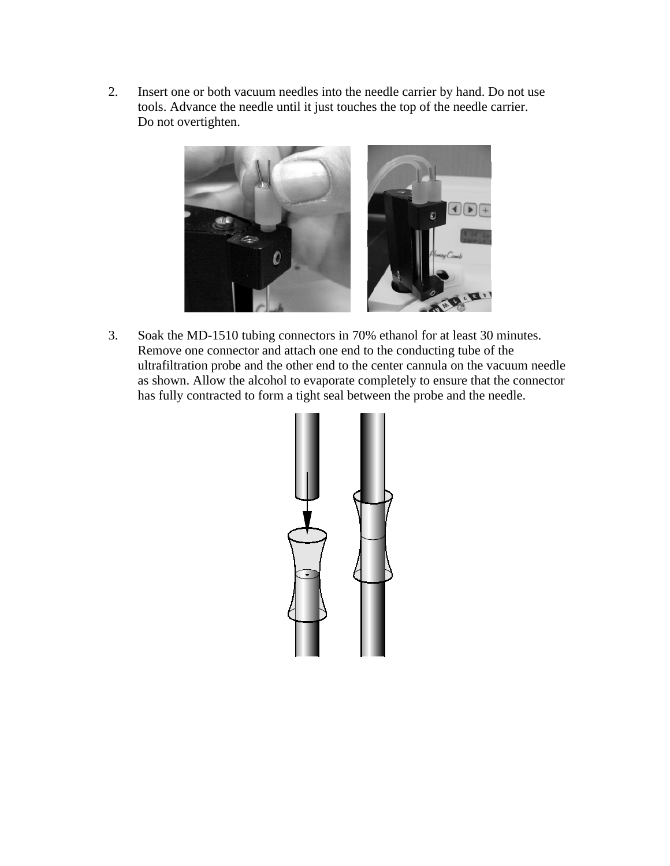2. Insert one or both vacuum needles into the needle carrier by hand. Do not use tools. Advance the needle until it just touches the top of the needle carrier. Do not overtighten.



3. Soak the MD-1510 tubing connectors in 70% ethanol for at least 30 minutes. Remove one connector and attach one end to the conducting tube of the ultrafiltration probe and the other end to the center cannula on the vacuum needle as shown. Allow the alcohol to evaporate completely to ensure that the connector has fully contracted to form a tight seal between the probe and the needle.

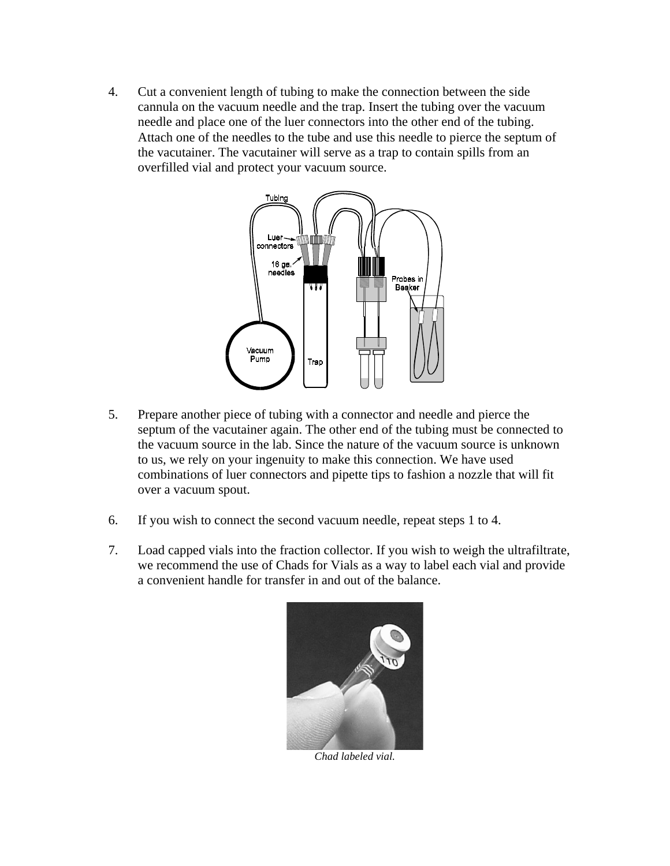4. Cut a convenient length of tubing to make the connection between the side cannula on the vacuum needle and the trap. Insert the tubing over the vacuum needle and place one of the luer connectors into the other end of the tubing. Attach one of the needles to the tube and use this needle to pierce the septum of the vacutainer. The vacutainer will serve as a trap to contain spills from an overfilled vial and protect your vacuum source.



- 5. Prepare another piece of tubing with a connector and needle and pierce the septum of the vacutainer again. The other end of the tubing must be connected to the vacuum source in the lab. Since the nature of the vacuum source is unknown to us, we rely on your ingenuity to make this connection. We have used combinations of luer connectors and pipette tips to fashion a nozzle that will fit over a vacuum spout.
- 6. If you wish to connect the second vacuum needle, repeat steps 1 to 4.
- 7. Load capped vials into the fraction collector. If you wish to weigh the ultrafiltrate, we recommend the use of Chads for Vials as a way to label each vial and provide a convenient handle for transfer in and out of the balance.



*Chad labeled vial.*